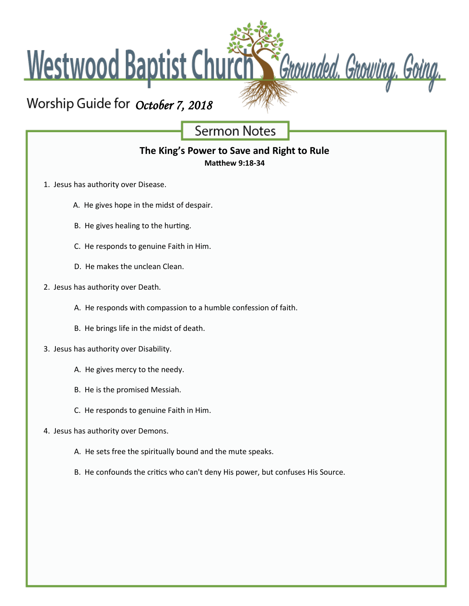Westwood Baptist Church

# Worship Guide for October 7, 2018

**Sermon Notes** 

Chounded. Growing. Going.

## **The King's Power to Save and Right to Rule**

**Matthew 9:18-34**

- 1. Jesus has authority over Disease.
	- A. He gives hope in the midst of despair.
	- B. He gives healing to the hurting.
	- C. He responds to genuine Faith in Him.
	- D. He makes the unclean Clean.
- 2. Jesus has authority over Death.
	- A. He responds with compassion to a humble confession of faith.
	- B. He brings life in the midst of death.
- 3. Jesus has authority over Disability.
	- A. He gives mercy to the needy.
	- B. He is the promised Messiah.
	- C. He responds to genuine Faith in Him.
- 4. Jesus has authority over Demons.
	- A. He sets free the spiritually bound and the mute speaks.
	- B. He confounds the critics who can't deny His power, but confuses His Source.